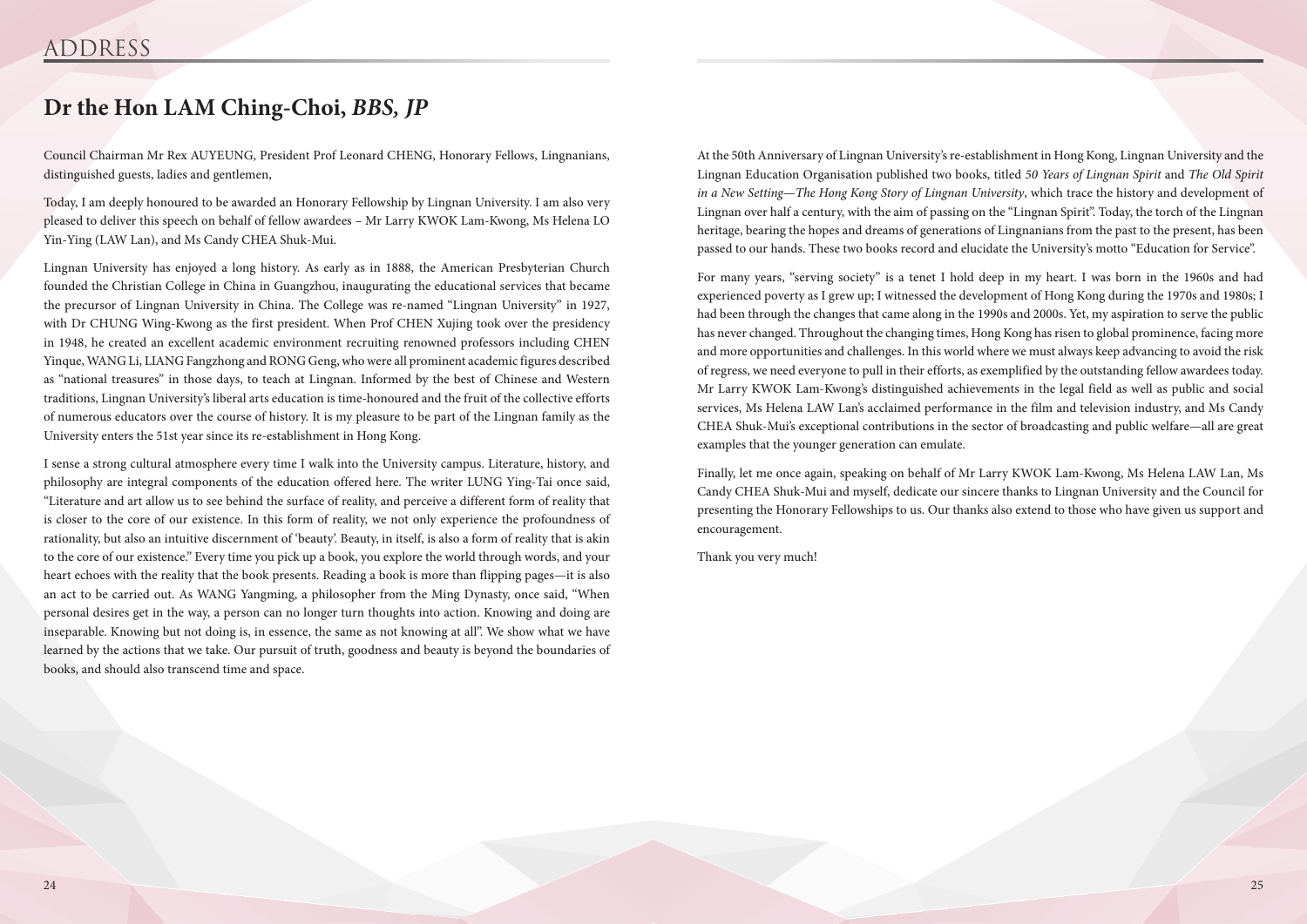Council Chairman Mr Rex AUYEUNG, President Prof Leonard CHENG, Honorary Fellows, Lingnanians, distinguished guests, ladies and gentlemen,

Today, I am deeply honoured to be awarded an Honorary Fellowship by Lingnan University. I am also very pleased to deliver this speech on behalf of fellow awardees – Mr Larry KWOK Lam-Kwong, Ms Helena LO Yin-Ying (LAW Lan), and Ms Candy CHEA Shuk-Mui.

Lingnan University has enjoyed a long history. As early as in 1888, the American Presbyterian Church founded the Christian College in China in Guangzhou, inaugurating the educational services that became the precursor of Lingnan University in China. The College was re-named "Lingnan University" in 1927, with Dr CHUNG Wing-Kwong as the first president. When Prof CHEN Xujing took over the presidency in 1948, he created an excellent academic environment recruiting renowned professors including CHEN Yinque, WANG Li, LIANG Fangzhong and RONG Geng, who were all prominent academic figures described as "national treasures" in those days, to teach at Lingnan. Informed by the best of Chinese and Western traditions, Lingnan University's liberal arts education is time-honoured and the fruit of the collective efforts of numerous educators over the course of history. It is my pleasure to be part of the Lingnan family as the University enters the 51st year since its re-establishment in Hong Kong.

I sense a strong cultural atmosphere every time I walk into the University campus. Literature, history, and philosophy are integral components of the education offered here. The writer LUNG Ying-Tai once said, "Literature and art allow us to see behind the surface of reality, and perceive a different form of reality that is closer to the core of our existence. In this form of reality, we not only experience the profoundness of rationality, but also an intuitive discernment of 'beauty'. Beauty, in itself, is also a form of reality that is akin to the core of our existence." Every time you pick up a book, you explore the world through words, and your heart echoes with the reality that the book presents. Reading a book is more than flipping pages—it is also an act to be carried out. As WANG Yangming, a philosopher from the Ming Dynasty, once said, "When personal desires get in the way, a person can no longer turn thoughts into action. Knowing and doing are inseparable. Knowing but not doing is, in essence, the same as not knowing at all". We show what we have learned by the actions that we take. Our pursuit of truth, goodness and beauty is beyond the boundaries of books, and should also transcend time and space.

## **Dr the Hon LAM Ching-Choi,** *BBS, JP*

At the 50th Anniversary of Lingnan University's re-establishment in Hong Kong, Lingnan University and the Lingnan Education Organisation published two books, titled *50 Years of Lingnan Spirit* and *The Old Spirit in a New Setting*—*The Hong Kong Story of Lingnan University*, which trace the history and development of Lingnan over half a century, with the aim of passing on the "Lingnan Spirit". Today, the torch of the Lingnan heritage, bearing the hopes and dreams of generations of Lingnanians from the past to the present, has been passed to our hands. These two books record and elucidate the University's motto "Education for Service".

For many years, "serving society" is a tenet I hold deep in my heart. I was born in the 1960s and had experienced poverty as I grew up; I witnessed the development of Hong Kong during the 1970s and 1980s; I had been through the changes that came along in the 1990s and 2000s. Yet, my aspiration to serve the public has never changed. Throughout the changing times, Hong Kong has risen to global prominence, facing more and more opportunities and challenges. In this world where we must always keep advancing to avoid the risk of regress, we need everyone to pull in their efforts, as exemplified by the outstanding fellow awardees today. Mr Larry KWOK Lam-Kwong's distinguished achievements in the legal field as well as public and social services, Ms Helena LAW Lan's acclaimed performance in the film and television industry, and Ms Candy CHEA Shuk-Mui's exceptional contributions in the sector of broadcasting and public welfare—all are great examples that the younger generation can emulate.

Finally, let me once again, speaking on behalf of Mr Larry KWOK Lam-Kwong, Ms Helena LAW Lan, Ms Candy CHEA Shuk-Mui and myself, dedicate our sincere thanks to Lingnan University and the Council for presenting the Honorary Fellowships to us. Our thanks also extend to those who have given us support and encouragement.

Thank you very much!